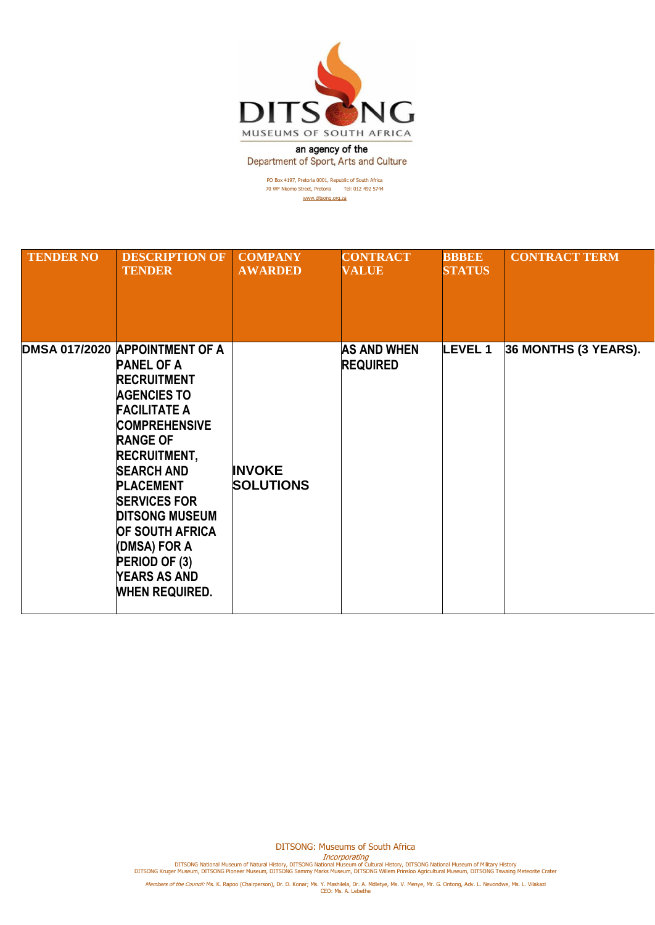

an agency of the Department of Sport, Arts and Culture

> PO Box 4197, Pretoria 0001, Republic of South Africa 70 WF Nkomo Street, Pretoria Tel: 012 492 5744 [www.ditsong.org.za](http://www.ditsong.org.za/)

| <b>TENDER NO</b> | <b>DESCRIPTION OF</b><br><b>TENDER</b>                                                                                                                                                                                                                                                                                                                                                       | <b>COMPANY</b><br><b>AWARDED</b>  | <b>CONTRACT</b><br><b>VALUE</b>       | <b>BBBEE</b><br><b>STATUS</b> | <b>CONTRACT TERM</b> |
|------------------|----------------------------------------------------------------------------------------------------------------------------------------------------------------------------------------------------------------------------------------------------------------------------------------------------------------------------------------------------------------------------------------------|-----------------------------------|---------------------------------------|-------------------------------|----------------------|
|                  | DMSA 017/2020 APPOINTMENT OF A<br><b>PANEL OF A</b><br><b>RECRUITMENT</b><br><b>AGENCIES TO</b><br><b>FACILITATE A</b><br><b>COMPREHENSIVE</b><br><b>RANGE OF</b><br><b>RECRUITMENT,</b><br><b>SEARCH AND</b><br><b>PLACEMENT</b><br><b>SERVICES FOR</b><br><b>DITSONG MUSEUM</b><br><b>OF SOUTH AFRICA</b><br>(DMSA) FOR A<br>PERIOD OF (3)<br><b>YEARS AS AND</b><br><b>WHEN REQUIRED.</b> | <b>INVOKE</b><br><b>SOLUTIONS</b> | <b>AS AND WHEN</b><br><b>REQUIRED</b> | <b>LEVEL1</b>                 | 36 MONTHS (3 YEARS). |

DITSONG: Museums of South Africa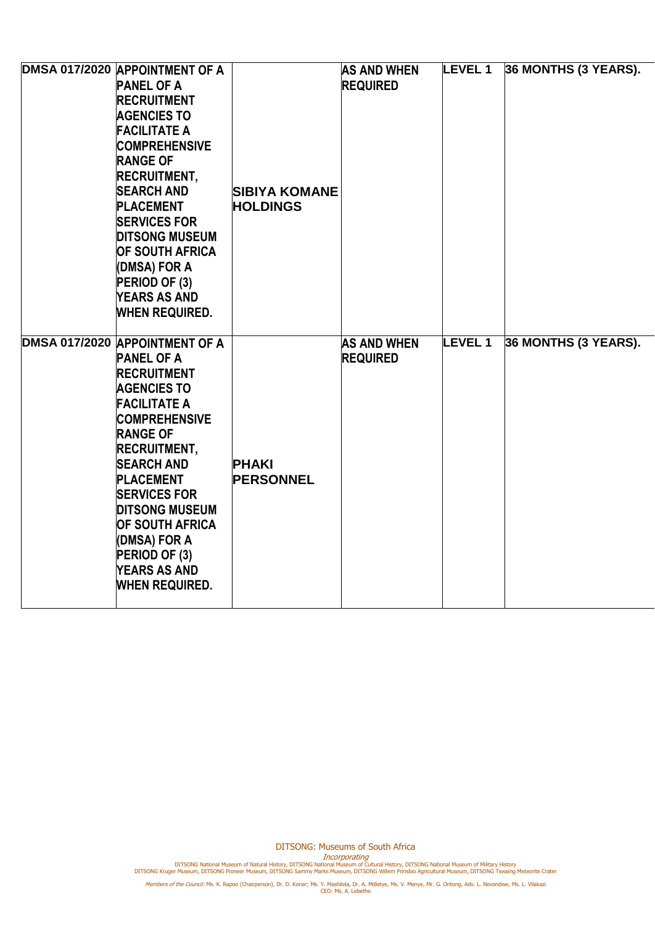| DMSA 017/2020 APPOINTMENT OF A<br><b>PANEL OF A</b><br><b>RECRUITMENT</b><br><b>AGENCIES TO</b><br><b>FACILITATE A</b><br><b>COMPREHENSIVE</b><br><b>RANGE OF</b><br><b>RECRUITMENT,</b><br><b>SEARCH AND</b><br><b>PLACEMENT</b><br><b>SERVICES FOR</b><br><b>DITSONG MUSEUM</b><br><b>OF SOUTH AFRICA</b><br>(DMSA) FOR A<br>PERIOD OF (3)<br><b>YEARS AS AND</b><br><b>WHEN REQUIRED.</b> | <b>SIBIYA KOMANE</b><br><b>HOLDINGS</b> | <b>AS AND WHEN</b><br><b>REQUIRED</b> | <b>LEVEL 1</b> | 36 MONTHS (3 YEARS). |
|----------------------------------------------------------------------------------------------------------------------------------------------------------------------------------------------------------------------------------------------------------------------------------------------------------------------------------------------------------------------------------------------|-----------------------------------------|---------------------------------------|----------------|----------------------|
| DMSA 017/2020 APPOINTMENT OF A<br><b>PANEL OF A</b><br><b>RECRUITMENT</b><br><b>AGENCIES TO</b><br><b>FACILITATE A</b><br><b>COMPREHENSIVE</b><br><b>RANGE OF</b><br><b>RECRUITMENT,</b><br><b>SEARCH AND</b><br><b>PLACEMENT</b><br><b>SERVICES FOR</b><br><b>DITSONG MUSEUM</b><br><b>OF SOUTH AFRICA</b><br>(DMSA) FOR A<br>PERIOD OF (3)<br><b>YEARS AS AND</b><br><b>WHEN REQUIRED.</b> | <b>PHAKI</b><br><b>PERSONNEL</b>        | <b>AS AND WHEN</b><br><b>REQUIRED</b> | <b>LEVEL1</b>  | 36 MONTHS (3 YEARS). |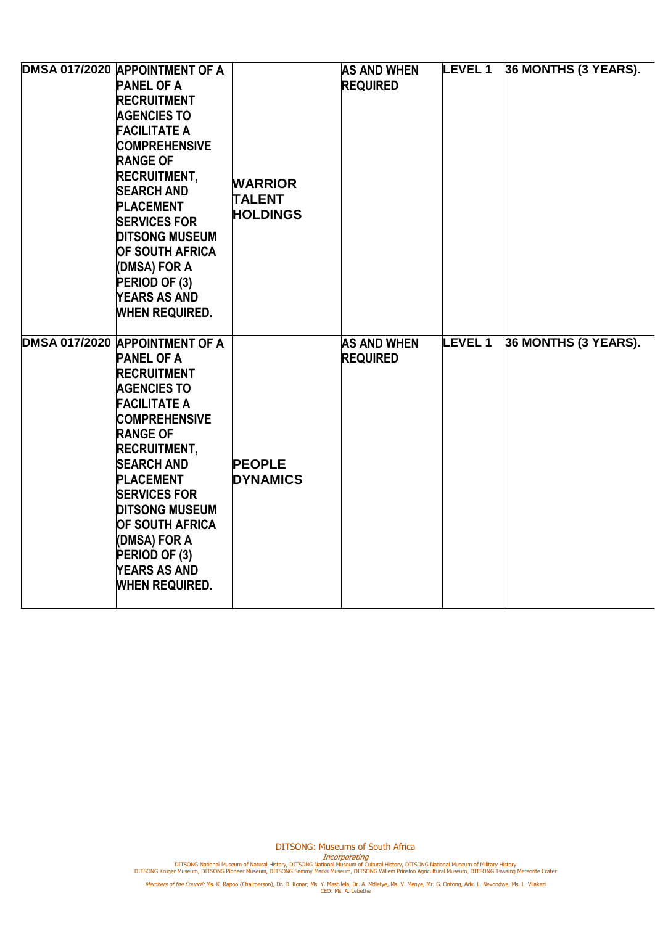| DMSA 017/2020 APPOINTMENT OF A<br><b>PANEL OF A</b><br><b>RECRUITMENT</b><br><b>AGENCIES TO</b><br><b>FACILITATE A</b><br><b>COMPREHENSIVE</b><br><b>RANGE OF</b><br><b>RECRUITMENT,</b><br><b>SEARCH AND</b><br><b>PLACEMENT</b><br><b>SERVICES FOR</b><br><b>DITSONG MUSEUM</b><br><b>OF SOUTH AFRICA</b><br>(DMSA) FOR A<br>PERIOD OF (3)<br><b>YEARS AS AND</b><br><b>WHEN REQUIRED.</b> | <b>WARRIOR</b><br><b>TALENT</b><br><b>HOLDINGS</b> | <b>AS AND WHEN</b><br><b>REQUIRED</b> | <b>LEVEL 1</b> | 36 MONTHS (3 YEARS). |
|----------------------------------------------------------------------------------------------------------------------------------------------------------------------------------------------------------------------------------------------------------------------------------------------------------------------------------------------------------------------------------------------|----------------------------------------------------|---------------------------------------|----------------|----------------------|
| DMSA 017/2020 APPOINTMENT OF A<br><b>PANEL OF A</b><br><b>RECRUITMENT</b><br><b>AGENCIES TO</b><br><b>FACILITATE A</b><br><b>COMPREHENSIVE</b><br><b>RANGE OF</b><br><b>RECRUITMENT,</b><br><b>SEARCH AND</b><br><b>PLACEMENT</b><br><b>SERVICES FOR</b><br><b>DITSONG MUSEUM</b><br><b>OF SOUTH AFRICA</b><br>(DMSA) FOR A<br>PERIOD OF (3)<br><b>YEARS AS AND</b><br><b>WHEN REQUIRED.</b> | <b>PEOPLE</b><br><b>DYNAMICS</b>                   | <b>AS AND WHEN</b><br><b>REQUIRED</b> | <b>LEVEL1</b>  | 36 MONTHS (3 YEARS). |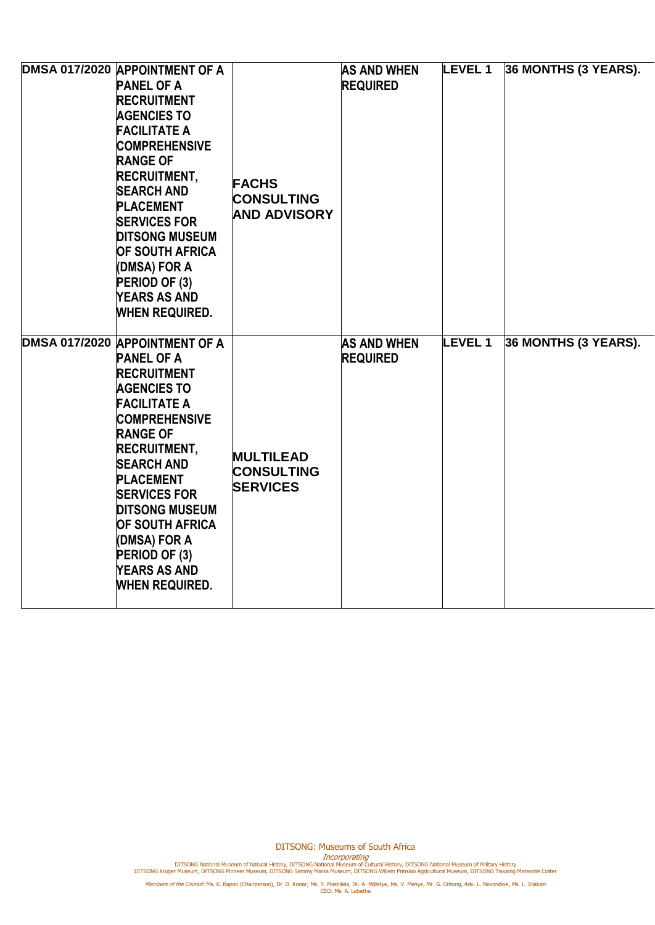| DMSA 017/2020 APPOINTMENT OF A<br><b>PANEL OF A</b><br><b>RECRUITMENT</b><br><b>AGENCIES TO</b><br><b>FACILITATE A</b><br><b>COMPREHENSIVE</b><br><b>RANGE OF</b><br><b>RECRUITMENT,</b><br><b>SEARCH AND</b><br><b>PLACEMENT</b><br><b>SERVICES FOR</b><br><b>DITSONG MUSEUM</b><br><b>OF SOUTH AFRICA</b><br>(DMSA) FOR A<br>PERIOD OF (3)<br><b>YEARS AS AND</b><br><b>WHEN REQUIRED.</b> | <b>FACHS</b><br><b>CONSULTING</b><br><b>AND ADVISORY</b> | <b>AS AND WHEN</b><br><b>REQUIRED</b> | <b>LEVEL 1</b> | 36 MONTHS (3 YEARS). |
|----------------------------------------------------------------------------------------------------------------------------------------------------------------------------------------------------------------------------------------------------------------------------------------------------------------------------------------------------------------------------------------------|----------------------------------------------------------|---------------------------------------|----------------|----------------------|
| DMSA 017/2020 APPOINTMENT OF A<br><b>PANEL OF A</b><br><b>RECRUITMENT</b><br><b>AGENCIES TO</b><br><b>FACILITATE A</b><br><b>COMPREHENSIVE</b><br><b>RANGE OF</b><br><b>RECRUITMENT,</b><br><b>SEARCH AND</b><br><b>PLACEMENT</b><br><b>SERVICES FOR</b><br><b>DITSONG MUSEUM</b><br><b>OF SOUTH AFRICA</b><br>(DMSA) FOR A<br>PERIOD OF (3)<br><b>YEARS AS AND</b><br><b>WHEN REQUIRED.</b> | <b>MULTILEAD</b><br><b>CONSULTING</b><br><b>SERVICES</b> | <b>AS AND WHEN</b><br><b>REQUIRED</b> | <b>LEVEL1</b>  | 36 MONTHS (3 YEARS). |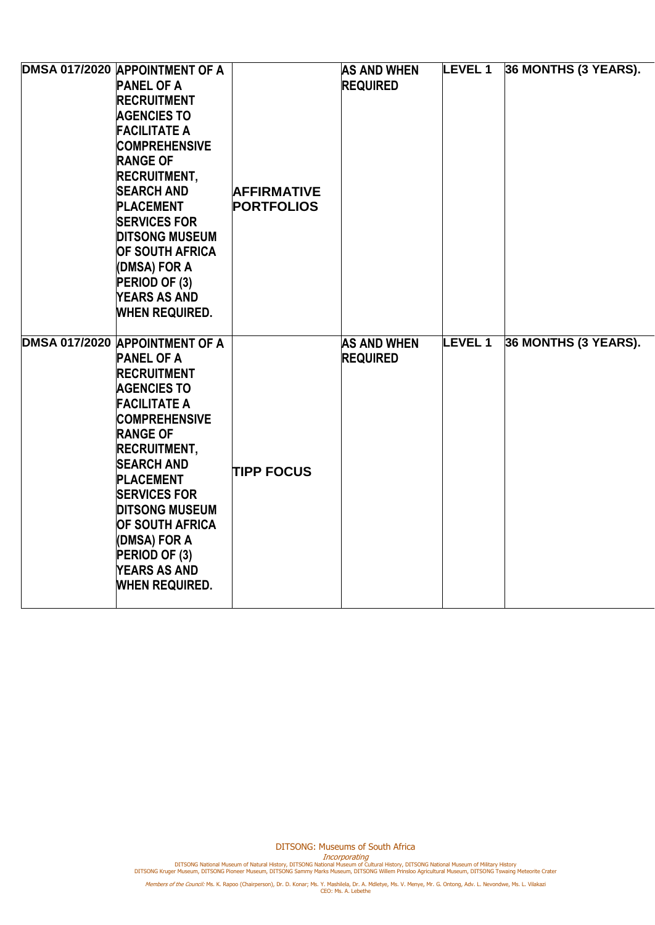| DMSA 017/2020 APPOINTMENT OF A<br><b>PANEL OF A</b><br><b>RECRUITMENT</b><br><b>AGENCIES TO</b><br><b>FACILITATE A</b><br><b>COMPREHENSIVE</b><br><b>RANGE OF</b><br><b>RECRUITMENT,</b><br><b>SEARCH AND</b><br><b>PLACEMENT</b><br><b>SERVICES FOR</b><br><b>DITSONG MUSEUM</b><br><b>OF SOUTH AFRICA</b><br>(DMSA) FOR A<br>PERIOD OF (3)<br><b>YEARS AS AND</b><br><b>WHEN REQUIRED.</b> | <b>AFFIRMATIVE</b><br><b>PORTFOLIOS</b> | <b>AS AND WHEN</b><br><b>REQUIRED</b> | <b>LEVEL 1</b> | 36 MONTHS (3 YEARS). |
|----------------------------------------------------------------------------------------------------------------------------------------------------------------------------------------------------------------------------------------------------------------------------------------------------------------------------------------------------------------------------------------------|-----------------------------------------|---------------------------------------|----------------|----------------------|
| DMSA 017/2020 APPOINTMENT OF A<br><b>PANEL OF A</b><br><b>RECRUITMENT</b><br><b>AGENCIES TO</b><br><b>FACILITATE A</b><br><b>COMPREHENSIVE</b><br><b>RANGE OF</b><br><b>RECRUITMENT,</b><br><b>SEARCH AND</b><br><b>PLACEMENT</b><br><b>SERVICES FOR</b><br><b>DITSONG MUSEUM</b><br><b>OF SOUTH AFRICA</b><br>(DMSA) FOR A<br>PERIOD OF (3)<br><b>YEARS AS AND</b><br><b>WHEN REQUIRED.</b> | <b>TIPP FOCUS</b>                       | <b>AS AND WHEN</b><br><b>REQUIRED</b> | <b>LEVEL1</b>  | 36 MONTHS (3 YEARS). |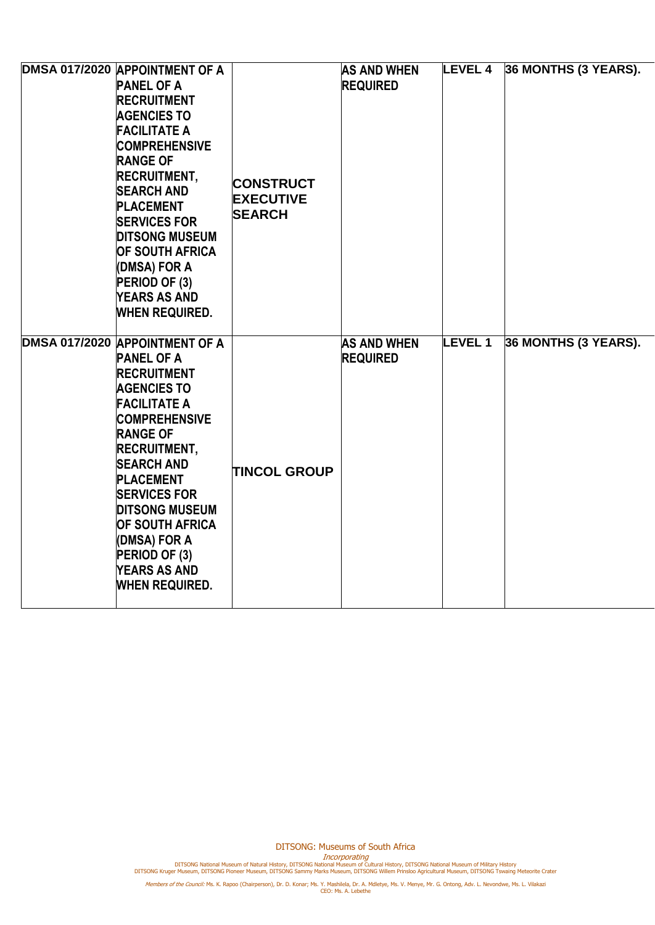| DMSA 017/2020 APPOINTMENT OF A<br><b>PANEL OF A</b><br><b>RECRUITMENT</b><br><b>AGENCIES TO</b><br><b>FACILITATE A</b><br><b>COMPREHENSIVE</b><br><b>RANGE OF</b><br><b>RECRUITMENT,</b><br><b>SEARCH AND</b><br><b>PLACEMENT</b><br><b>SERVICES FOR</b><br><b>DITSONG MUSEUM</b><br><b>OF SOUTH AFRICA</b><br>(DMSA) FOR A<br>PERIOD OF (3)<br><b>YEARS AS AND</b><br><b>WHEN REQUIRED.</b> | <b>CONSTRUCT</b><br><b>EXECUTIVE</b><br><b>SEARCH</b> | <b>AS AND WHEN</b><br><b>REQUIRED</b> | <b>LEVEL 4</b> | 36 MONTHS (3 YEARS). |
|----------------------------------------------------------------------------------------------------------------------------------------------------------------------------------------------------------------------------------------------------------------------------------------------------------------------------------------------------------------------------------------------|-------------------------------------------------------|---------------------------------------|----------------|----------------------|
| DMSA 017/2020 APPOINTMENT OF A<br><b>PANEL OF A</b><br><b>RECRUITMENT</b><br><b>AGENCIES TO</b><br><b>FACILITATE A</b><br><b>COMPREHENSIVE</b><br><b>RANGE OF</b><br><b>RECRUITMENT,</b><br><b>SEARCH AND</b><br><b>PLACEMENT</b><br><b>SERVICES FOR</b><br><b>DITSONG MUSEUM</b><br><b>OF SOUTH AFRICA</b><br>(DMSA) FOR A<br>PERIOD OF (3)<br><b>YEARS AS AND</b><br><b>WHEN REQUIRED.</b> | <b>TINCOL GROUP</b>                                   | <b>AS AND WHEN</b><br><b>REQUIRED</b> | <b>LEVEL1</b>  | 36 MONTHS (3 YEARS). |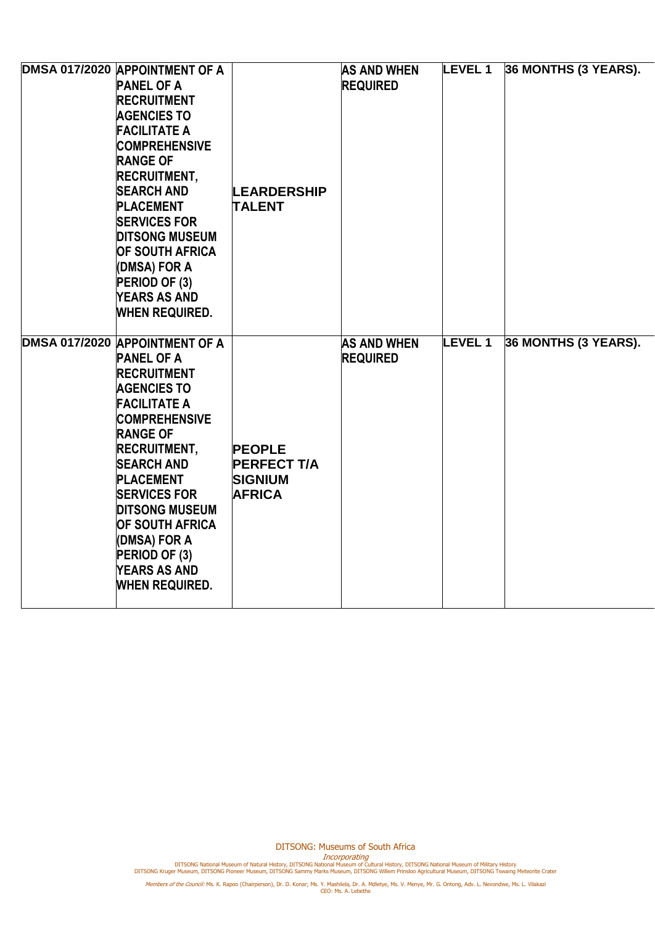| DMSA 017/2020 APPOINTMENT OF A<br><b>PANEL OF A</b><br><b>RECRUITMENT</b><br><b>AGENCIES TO</b><br><b>FACILITATE A</b><br><b>COMPREHENSIVE</b><br><b>RANGE OF</b><br><b>RECRUITMENT,</b><br><b>SEARCH AND</b><br><b>PLACEMENT</b><br><b>SERVICES FOR</b><br><b>DITSONG MUSEUM</b><br><b>OF SOUTH AFRICA</b><br>(DMSA) FOR A<br>PERIOD OF (3)<br><b>YEARS AS AND</b><br><b>WHEN REQUIRED.</b> | <b>LEARDERSHIP</b><br><b>TALENT</b>                                    | <b>AS AND WHEN</b><br><b>REQUIRED</b> | <b>LEVEL1</b> | 36 MONTHS (3 YEARS). |
|----------------------------------------------------------------------------------------------------------------------------------------------------------------------------------------------------------------------------------------------------------------------------------------------------------------------------------------------------------------------------------------------|------------------------------------------------------------------------|---------------------------------------|---------------|----------------------|
| DMSA 017/2020 APPOINTMENT OF A<br><b>PANEL OF A</b><br><b>RECRUITMENT</b><br><b>AGENCIES TO</b><br><b>FACILITATE A</b><br><b>COMPREHENSIVE</b><br><b>RANGE OF</b><br><b>RECRUITMENT,</b><br><b>SEARCH AND</b><br><b>PLACEMENT</b><br><b>SERVICES FOR</b><br><b>DITSONG MUSEUM</b><br><b>OF SOUTH AFRICA</b><br>(DMSA) FOR A<br>PERIOD OF (3)<br><b>YEARS AS AND</b><br><b>WHEN REQUIRED.</b> | <b>PEOPLE</b><br><b>PERFECT T/A</b><br><b>SIGNIUM</b><br><b>AFRICA</b> | <b>AS AND WHEN</b><br><b>REQUIRED</b> | <b>LEVEL1</b> | 36 MONTHS (3 YEARS). |